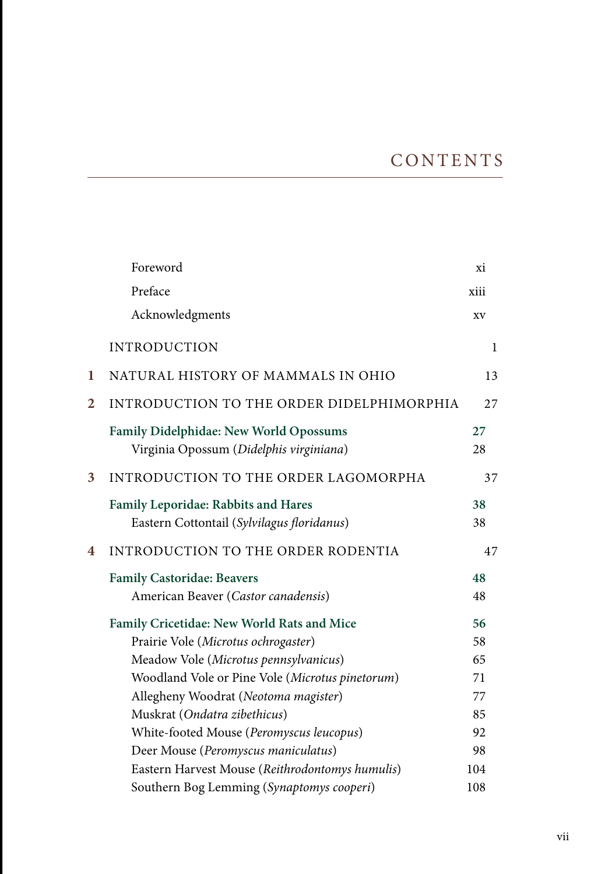|                | Foreword                                                                          | xi           |
|----------------|-----------------------------------------------------------------------------------|--------------|
|                | Preface                                                                           | xiii         |
|                | Acknowledgments                                                                   | XV           |
|                | <b>INTRODUCTION</b>                                                               | $\mathbf{1}$ |
| 1              | NATURAL HISTORY OF MAMMALS IN OHIO                                                | 13           |
| $\overline{2}$ | INTRODUCTION TO THE ORDER DIDELPHIMORPHIA                                         | 27           |
|                | Family Didelphidae: New World Opossums<br>Virginia Opossum (Didelphis virginiana) | 27<br>28     |
| 3              | INTRODUCTION TO THE ORDER LAGOMORPHA                                              | 37           |
|                | Family Leporidae: Rabbits and Hares<br>Eastern Cottontail (Sylvilagus floridanus) | 38<br>38     |
| 4              | INTRODUCTION TO THE ORDER RODENTIA                                                | 47           |
|                | <b>Family Castoridae: Beavers</b>                                                 | 48           |
|                | American Beaver (Castor canadensis)                                               | 48           |
|                | Family Cricetidae: New World Rats and Mice                                        | 56           |
|                | Prairie Vole (Microtus ochrogaster)                                               | 58           |
|                | Meadow Vole (Microtus pennsylvanicus)                                             | 65           |
|                | Woodland Vole or Pine Vole (Microtus pinetorum)                                   | 71           |
|                | Allegheny Woodrat (Neotoma magister)                                              | 77           |
|                | Muskrat (Ondatra zibethicus)                                                      | 85           |
|                | White-footed Mouse (Peromyscus leucopus)                                          | 92           |
|                | Deer Mouse (Peromyscus maniculatus)                                               | 98           |
|                | Eastern Harvest Mouse (Reithrodontomys humulis)                                   | 104          |
|                | Southern Bog Lemming (Synaptomys cooperi)                                         | 108          |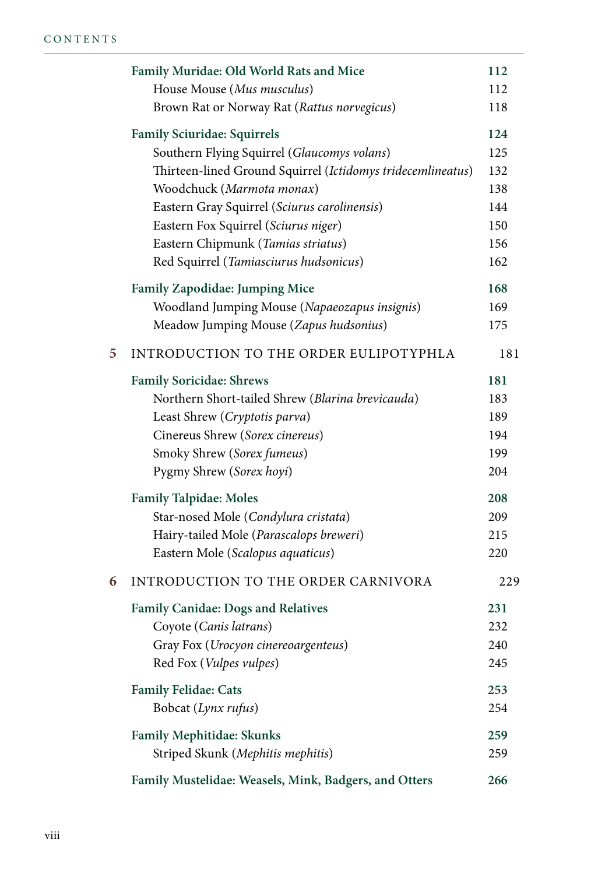|   | Family Muridae: Old World Rats and Mice                     | 112 |
|---|-------------------------------------------------------------|-----|
|   | House Mouse (Mus musculus)                                  | 112 |
|   | Brown Rat or Norway Rat (Rattus norvegicus)                 | 118 |
|   | <b>Family Sciuridae: Squirrels</b>                          | 124 |
|   | Southern Flying Squirrel (Glaucomys volans)                 | 125 |
|   | Thirteen-lined Ground Squirrel (Ictidomys tridecemlineatus) | 132 |
|   | Woodchuck (Marmota monax)                                   | 138 |
|   | Eastern Gray Squirrel (Sciurus carolinensis)                | 144 |
|   | Eastern Fox Squirrel (Sciurus niger)                        | 150 |
|   | Eastern Chipmunk (Tamias striatus)                          | 156 |
|   | Red Squirrel (Tamiasciurus hudsonicus)                      | 162 |
|   | <b>Family Zapodidae: Jumping Mice</b>                       | 168 |
|   | Woodland Jumping Mouse (Napaeozapus insignis)               | 169 |
|   | Meadow Jumping Mouse (Zapus hudsonius)                      | 175 |
| 5 | INTRODUCTION TO THE ORDER EULIPOTYPHLA                      | 181 |
|   | <b>Family Soricidae: Shrews</b>                             | 181 |
|   | Northern Short-tailed Shrew (Blarina brevicauda)            | 183 |
|   | Least Shrew (Cryptotis parva)                               | 189 |
|   | Cinereus Shrew (Sorex cinereus)                             | 194 |
|   | Smoky Shrew (Sorex fumeus)                                  | 199 |
|   | Pygmy Shrew (Sorex hoyi)                                    | 204 |
|   | <b>Family Talpidae: Moles</b>                               | 208 |
|   | Star-nosed Mole (Condylura cristata)                        | 209 |
|   | Hairy-tailed Mole (Parascalops breweri)                     | 215 |
|   | Eastern Mole (Scalopus aquaticus)                           | 220 |
| 6 | INTRODUCTION TO THE ORDER CARNIVORA                         | 229 |
|   | <b>Family Canidae: Dogs and Relatives</b>                   | 231 |
|   | Coyote (Canis latrans)                                      | 232 |
|   | Gray Fox (Urocyon cinereoargenteus)                         | 240 |
|   | Red Fox (Vulpes vulpes)                                     | 245 |
|   | <b>Family Felidae: Cats</b>                                 | 253 |
|   | Bobcat (Lynx rufus)                                         | 254 |
|   | Family Mephitidae: Skunks                                   | 259 |
|   | Striped Skunk (Mephitis mephitis)                           | 259 |
|   | Family Mustelidae: Weasels, Mink, Badgers, and Otters       | 266 |